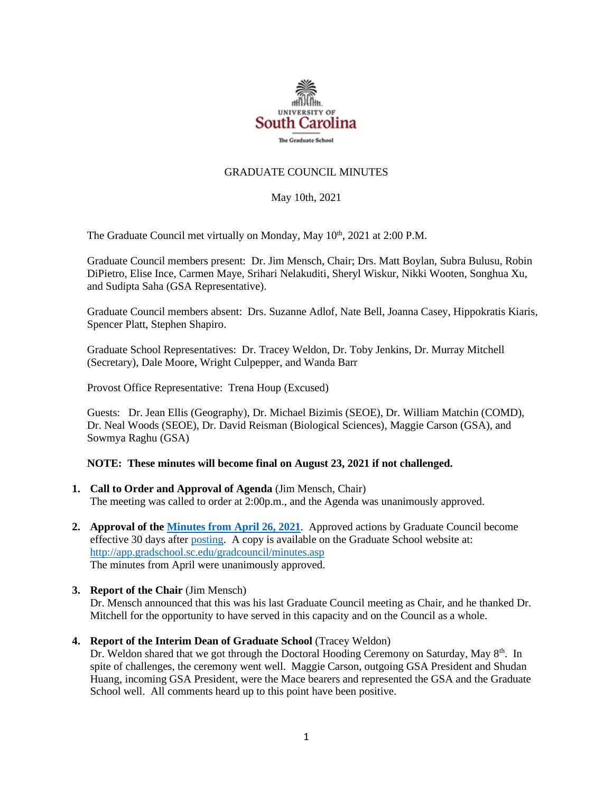

## GRADUATE COUNCIL MINUTES

### May 10th, 2021

The Graduate Council met virtually on Monday, May 10<sup>th</sup>, 2021 at 2:00 P.M.

Graduate Council members present: Dr. Jim Mensch, Chair; Drs. Matt Boylan, Subra Bulusu, Robin DiPietro, Elise Ince, Carmen Maye, Srihari Nelakuditi, Sheryl Wiskur, Nikki Wooten, Songhua Xu, and Sudipta Saha (GSA Representative).

Graduate Council members absent: Drs. Suzanne Adlof, Nate Bell, Joanna Casey, Hippokratis Kiaris, Spencer Platt, Stephen Shapiro.

Graduate School Representatives: Dr. Tracey Weldon, Dr. Toby Jenkins, Dr. Murray Mitchell (Secretary), Dale Moore, Wright Culpepper, and Wanda Barr

Provost Office Representative: Trena Houp (Excused)

Guests: Dr. Jean Ellis (Geography), Dr. Michael Bizimis (SEOE), Dr. William Matchin (COMD), Dr. Neal Woods (SEOE), Dr. David Reisman (Biological Sciences), Maggie Carson (GSA), and Sowmya Raghu (GSA)

### **NOTE: These minutes will become final on August 23, 2021 if not challenged.**

- **1. Call to Order and Approval of Agenda** (Jim Mensch, Chair) The meeting was called to order at 2:00p.m., and the Agenda was unanimously approved.
- **2. Approval of th[e Minutes from April](file://///COSSLAOthello.ds.sc.edu/MIRROR/GRAD/WANDAB/Profile/Documents/Agendas%20and%20Minutes/GCMINUTES4.26.21%20MFM.pdf) 26, 2021**. Approved actions by Graduate Council become effective 30 days after [posting.](file://///COSSLAOthello.ds.sc.edu/MIRROR/GRAD/WANDAB/Profile/Documents/Agendas%20and%20Minutes/GCMINUTES4.26.21%20MFM.pdf) A copy is available on the Graduate School website at: <http://app.gradschool.sc.edu/gradcouncil/minutes.asp> The minutes from April were unanimously approved.
- **3. Report of the Chair** (Jim Mensch) Dr. Mensch announced that this was his last Graduate Council meeting as Chair, and he thanked Dr. Mitchell for the opportunity to have served in this capacity and on the Council as a whole.
- **4. Report of the Interim Dean of Graduate School** (Tracey Weldon) Dr. Weldon shared that we got through the Doctoral Hooding Ceremony on Saturday, May 8<sup>th</sup>. In spite of challenges, the ceremony went well. Maggie Carson, outgoing GSA President and Shudan Huang, incoming GSA President, were the Mace bearers and represented the GSA and the Graduate School well. All comments heard up to this point have been positive.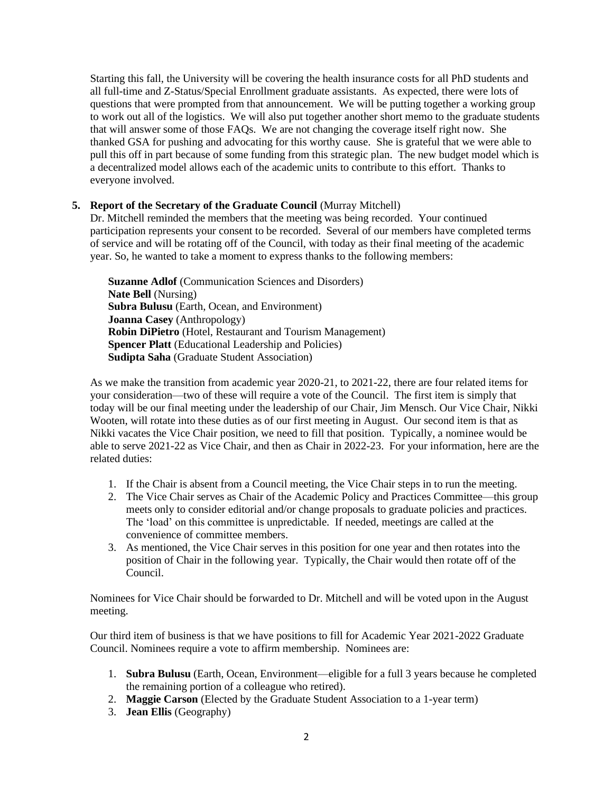Starting this fall, the University will be covering the health insurance costs for all PhD students and all full-time and Z-Status/Special Enrollment graduate assistants. As expected, there were lots of questions that were prompted from that announcement. We will be putting together a working group to work out all of the logistics. We will also put together another short memo to the graduate students that will answer some of those FAQs. We are not changing the coverage itself right now. She thanked GSA for pushing and advocating for this worthy cause. She is grateful that we were able to pull this off in part because of some funding from this strategic plan. The new budget model which is a decentralized model allows each of the academic units to contribute to this effort. Thanks to everyone involved.

# **5. Report of the Secretary of the Graduate Council** (Murray Mitchell)

Dr. Mitchell reminded the members that the meeting was being recorded. Your continued participation represents your consent to be recorded. Several of our members have completed terms of service and will be rotating off of the Council, with today as their final meeting of the academic year. So, he wanted to take a moment to express thanks to the following members:

**Suzanne Adlof** (Communication Sciences and Disorders) **Nate Bell** (Nursing) **Subra Bulusu** (Earth, Ocean, and Environment) **Joanna Casey** (Anthropology) **Robin DiPietro** (Hotel, Restaurant and Tourism Management) **Spencer Platt** (Educational Leadership and Policies) **Sudipta Saha** (Graduate Student Association)

As we make the transition from academic year 2020-21, to 2021-22, there are four related items for your consideration—two of these will require a vote of the Council. The first item is simply that today will be our final meeting under the leadership of our Chair, Jim Mensch. Our Vice Chair, Nikki Wooten, will rotate into these duties as of our first meeting in August. Our second item is that as Nikki vacates the Vice Chair position, we need to fill that position. Typically, a nominee would be able to serve 2021-22 as Vice Chair, and then as Chair in 2022-23. For your information, here are the related duties:

- 1. If the Chair is absent from a Council meeting, the Vice Chair steps in to run the meeting.
- 2. The Vice Chair serves as Chair of the Academic Policy and Practices Committee—this group meets only to consider editorial and/or change proposals to graduate policies and practices. The 'load' on this committee is unpredictable. If needed, meetings are called at the convenience of committee members.
- 3. As mentioned, the Vice Chair serves in this position for one year and then rotates into the position of Chair in the following year. Typically, the Chair would then rotate off of the Council.

Nominees for Vice Chair should be forwarded to Dr. Mitchell and will be voted upon in the August meeting.

Our third item of business is that we have positions to fill for Academic Year 2021-2022 Graduate Council. Nominees require a vote to affirm membership. Nominees are:

- 1. **Subra Bulusu** (Earth, Ocean, Environment—eligible for a full 3 years because he completed the remaining portion of a colleague who retired).
- 2. **Maggie Carson** (Elected by the Graduate Student Association to a 1-year term)
- 3. **Jean Ellis** (Geography)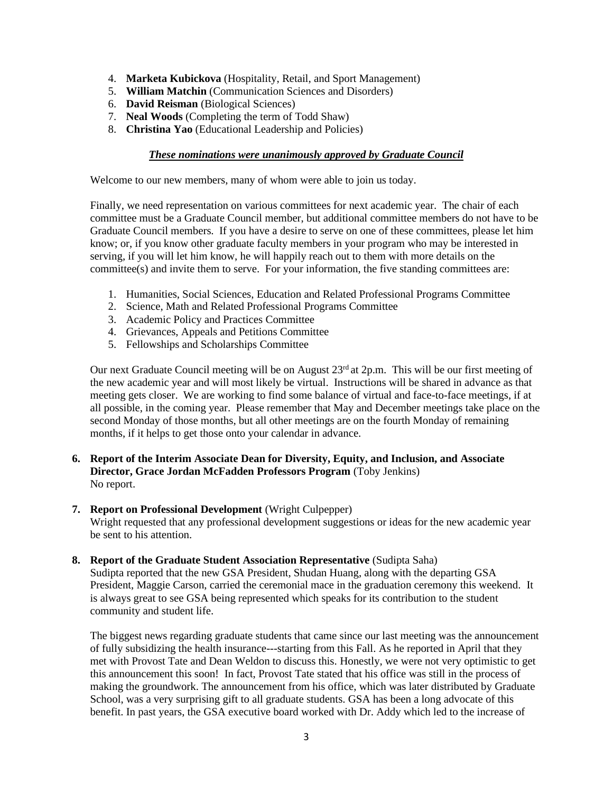- 4. **Marketa Kubickova** (Hospitality, Retail, and Sport Management)
- 5. **William Matchin** (Communication Sciences and Disorders)
- 6. **David Reisman** (Biological Sciences)
- 7. **Neal Woods** (Completing the term of Todd Shaw)
- 8. **Christina Yao** (Educational Leadership and Policies)

# *These nominations were unanimously approved by Graduate Council*

Welcome to our new members, many of whom were able to join us today.

Finally, we need representation on various committees for next academic year. The chair of each committee must be a Graduate Council member, but additional committee members do not have to be Graduate Council members. If you have a desire to serve on one of these committees, please let him know; or, if you know other graduate faculty members in your program who may be interested in serving, if you will let him know, he will happily reach out to them with more details on the committee(s) and invite them to serve. For your information, the five standing committees are:

- 1. Humanities, Social Sciences, Education and Related Professional Programs Committee
- 2. Science, Math and Related Professional Programs Committee
- 3. Academic Policy and Practices Committee
- 4. Grievances, Appeals and Petitions Committee
- 5. Fellowships and Scholarships Committee

Our next Graduate Council meeting will be on August  $23<sup>rd</sup>$  at  $2p.m.$  This will be our first meeting of the new academic year and will most likely be virtual. Instructions will be shared in advance as that meeting gets closer. We are working to find some balance of virtual and face-to-face meetings, if at all possible, in the coming year. Please remember that May and December meetings take place on the second Monday of those months, but all other meetings are on the fourth Monday of remaining months, if it helps to get those onto your calendar in advance.

**6. Report of the Interim Associate Dean for Diversity, Equity, and Inclusion, and Associate Director, Grace Jordan McFadden Professors Program** (Toby Jenkins) No report.

## **7. Report on Professional Development** (Wright Culpepper) Wright requested that any professional development suggestions or ideas for the new academic year be sent to his attention.

**8. Report of the Graduate Student Association Representative** (Sudipta Saha) Sudipta reported that the new GSA President, Shudan Huang, along with the departing GSA President, Maggie Carson, carried the ceremonial mace in the graduation ceremony this weekend. It is always great to see GSA being represented which speaks for its contribution to the student community and student life.

The biggest news regarding graduate students that came since our last meeting was the announcement of fully subsidizing the health insurance---starting from this Fall. As he reported in April that they met with Provost Tate and Dean Weldon to discuss this. Honestly, we were not very optimistic to get this announcement this soon! In fact, Provost Tate stated that his office was still in the process of making the groundwork. The announcement from his office, which was later distributed by Graduate School, was a very surprising gift to all graduate students. GSA has been a long advocate of this benefit. In past years, the GSA executive board worked with Dr. Addy which led to the increase of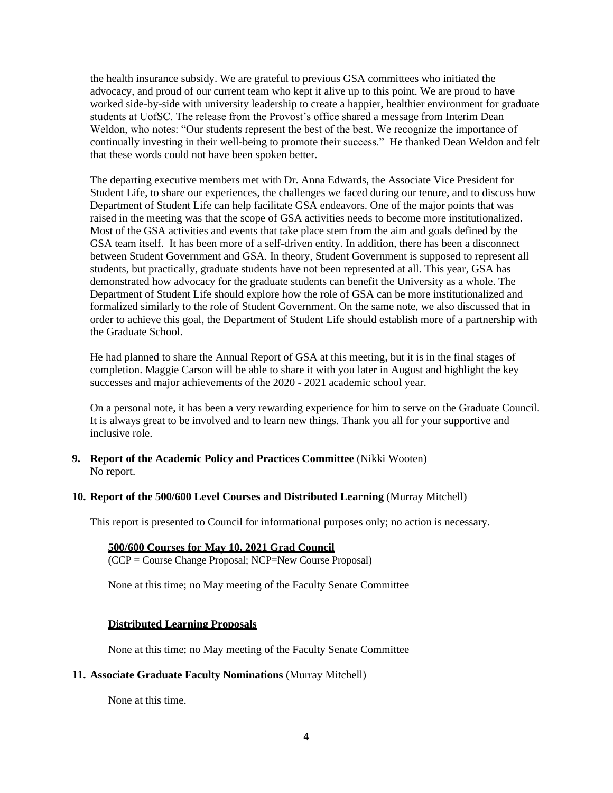the health insurance subsidy. We are grateful to previous GSA committees who initiated the advocacy, and proud of our current team who kept it alive up to this point. We are proud to have worked side-by-side with university leadership to create a happier, healthier environment for graduate students at UofSC. The release from the Provost's office shared a message from Interim Dean Weldon, who notes: "Our students represent the best of the best. We recognize the importance of continually investing in their well-being to promote their success." He thanked Dean Weldon and felt that these words could not have been spoken better.

The departing executive members met with Dr. Anna Edwards, the Associate Vice President for Student Life, to share our experiences, the challenges we faced during our tenure, and to discuss how Department of Student Life can help facilitate GSA endeavors. One of the major points that was raised in the meeting was that the scope of GSA activities needs to become more institutionalized. Most of the GSA activities and events that take place stem from the aim and goals defined by the GSA team itself. It has been more of a self-driven entity. In addition, there has been a disconnect between Student Government and GSA. In theory, Student Government is supposed to represent all students, but practically, graduate students have not been represented at all. This year, GSA has demonstrated how advocacy for the graduate students can benefit the University as a whole. The Department of Student Life should explore how the role of GSA can be more institutionalized and formalized similarly to the role of Student Government. On the same note, we also discussed that in order to achieve this goal, the Department of Student Life should establish more of a partnership with the Graduate School.

He had planned to share the Annual Report of GSA at this meeting, but it is in the final stages of completion. Maggie Carson will be able to share it with you later in August and highlight the key successes and major achievements of the 2020 - 2021 academic school year.

On a personal note, it has been a very rewarding experience for him to serve on the Graduate Council. It is always great to be involved and to learn new things. Thank you all for your supportive and inclusive role.

- **9. Report of the Academic Policy and Practices Committee** (Nikki Wooten) No report.
- **10. Report of the 500/600 Level Courses and Distributed Learning** (Murray Mitchell)

This report is presented to Council for informational purposes only; no action is necessary.

#### **500/600 Courses for May 10, 2021 Grad Council**

(CCP = Course Change Proposal; NCP=New Course Proposal)

None at this time; no May meeting of the Faculty Senate Committee

### **Distributed Learning Proposals**

None at this time; no May meeting of the Faculty Senate Committee

#### **11. Associate Graduate Faculty Nominations** (Murray Mitchell)

None at this time.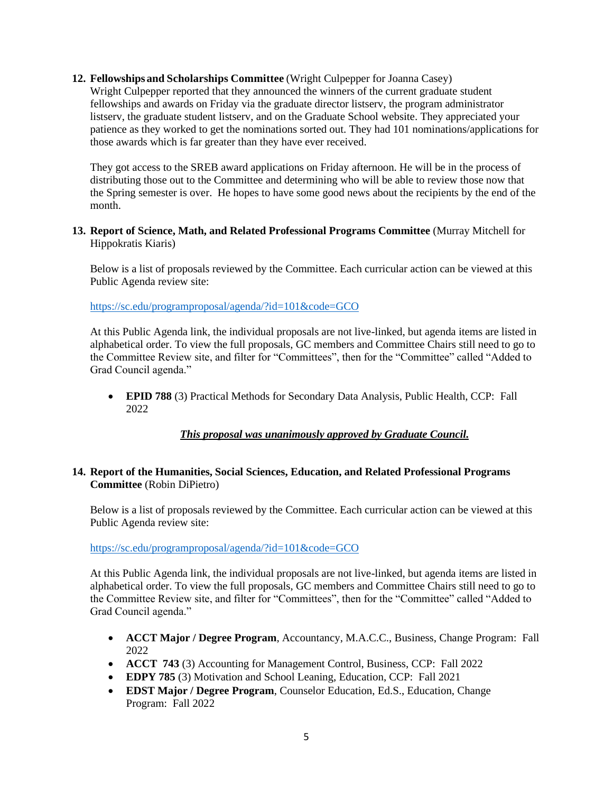## **12. Fellowships and Scholarships Committee** (Wright Culpepper for Joanna Casey)

Wright Culpepper reported that they announced the winners of the current graduate student fellowships and awards on Friday via the graduate director listserv, the program administrator listserv, the graduate student listserv, and on the Graduate School website. They appreciated your patience as they worked to get the nominations sorted out. They had 101 nominations/applications for those awards which is far greater than they have ever received.

They got access to the SREB award applications on Friday afternoon. He will be in the process of distributing those out to the Committee and determining who will be able to review those now that the Spring semester is over. He hopes to have some good news about the recipients by the end of the month.

## **13. Report of Science, Math, and Related Professional Programs Committee** (Murray Mitchell for Hippokratis Kiaris)

Below is a list of proposals reviewed by the Committee. Each curricular action can be viewed at this Public Agenda review site:

<https://sc.edu/programproposal/agenda/?id=101&code=GCO>

At this Public Agenda link, the individual proposals are not live-linked, but agenda items are listed in alphabetical order. To view the full proposals, GC members and Committee Chairs still need to go to the Committee Review site, and filter for "Committees", then for the "Committee" called "Added to Grad Council agenda."

• **EPID 788** (3) Practical Methods for Secondary Data Analysis, Public Health, CCP: Fall 2022

## *This proposal was unanimously approved by Graduate Council.*

## **14. Report of the Humanities, Social Sciences, Education, and Related Professional Programs Committee** (Robin DiPietro)

Below is a list of proposals reviewed by the Committee. Each curricular action can be viewed at this Public Agenda review site:

<https://sc.edu/programproposal/agenda/?id=101&code=GCO>

At this Public Agenda link, the individual proposals are not live-linked, but agenda items are listed in alphabetical order. To view the full proposals, GC members and Committee Chairs still need to go to the Committee Review site, and filter for "Committees", then for the "Committee" called "Added to Grad Council agenda."

- **ACCT Major / Degree Program**, Accountancy, M.A.C.C., Business, Change Program: Fall 2022
- **ACCT 743** (3) Accounting for Management Control, Business, CCP: Fall 2022
- **EDPY 785** (3) Motivation and School Leaning, Education, CCP: Fall 2021
- **EDST Major / Degree Program**, Counselor Education, Ed.S., Education, Change Program: Fall 2022